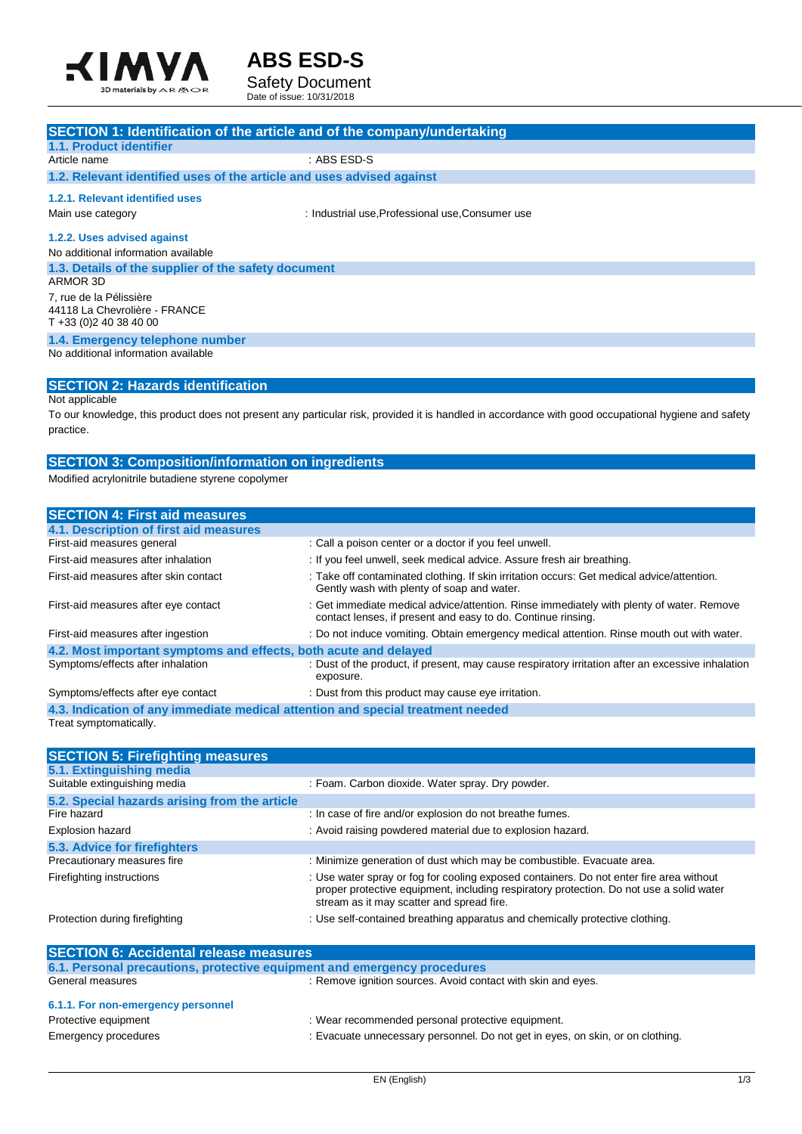



Date of issue: 10/31/2018

| <b>SECTION 1: Identification of the article and of the company/undertaking</b> |                                                  |
|--------------------------------------------------------------------------------|--------------------------------------------------|
| 1.1. Product identifier                                                        |                                                  |
| Article name                                                                   | $:$ ABS ESD-S                                    |
| 1.2. Relevant identified uses of the article and uses advised against          |                                                  |
| 1.2.1. Relevant identified uses                                                |                                                  |
| Main use category                                                              | : Industrial use, Professional use, Consumer use |
| 1.2.2. Uses advised against                                                    |                                                  |
| No additional information available                                            |                                                  |
| 1.3. Details of the supplier of the safety document                            |                                                  |
| ARMOR 3D                                                                       |                                                  |
| 7, rue de la Pélissière                                                        |                                                  |
| 44118 La Chevrolière - FRANCE                                                  |                                                  |
| $T + 33(0)240384000$                                                           |                                                  |
| 1.4. Emergency telephone number                                                |                                                  |
| No additional information available                                            |                                                  |
|                                                                                |                                                  |
| <b>SECTION 2: Hazards identification</b>                                       |                                                  |

Not applicable

To our knowledge, this product does not present any particular risk, provided it is handled in accordance with good occupational hygiene and safety practice.

## **SECTION 3: Composition/information on ingredients**

Modified acrylonitrile butadiene styrene copolymer

| : Call a poison center or a doctor if you feel unwell.                                                                                                   |  |  |
|----------------------------------------------------------------------------------------------------------------------------------------------------------|--|--|
| : If you feel unwell, seek medical advice. Assure fresh air breathing.                                                                                   |  |  |
| : Take off contaminated clothing. If skin irritation occurs: Get medical advice/attention.<br>Gently wash with plenty of soap and water.                 |  |  |
| : Get immediate medical advice/attention. Rinse immediately with plenty of water. Remove<br>contact lenses, if present and easy to do. Continue rinsing. |  |  |
| : Do not induce vomiting. Obtain emergency medical attention. Rinse mouth out with water.                                                                |  |  |
| 4.2. Most important symptoms and effects, both acute and delayed                                                                                         |  |  |
| : Dust of the product, if present, may cause respiratory irritation after an excessive inhalation<br>exposure.                                           |  |  |
| : Dust from this product may cause eye irritation.                                                                                                       |  |  |
| 4.3. Indication of any immediate medical attention and special treatment needed                                                                          |  |  |
|                                                                                                                                                          |  |  |

Treat symptomatically.

| <b>SECTION 5: Firefighting measures</b>       |                                                                                                                                                                                                                                 |
|-----------------------------------------------|---------------------------------------------------------------------------------------------------------------------------------------------------------------------------------------------------------------------------------|
| 5.1. Extinguishing media                      |                                                                                                                                                                                                                                 |
| Suitable extinguishing media                  | : Foam. Carbon dioxide. Water spray. Dry powder.                                                                                                                                                                                |
| 5.2. Special hazards arising from the article |                                                                                                                                                                                                                                 |
| Fire hazard                                   | : In case of fire and/or explosion do not breathe fumes.                                                                                                                                                                        |
| Explosion hazard                              | : Avoid raising powdered material due to explosion hazard.                                                                                                                                                                      |
| 5.3. Advice for firefighters                  |                                                                                                                                                                                                                                 |
| Precautionary measures fire                   | : Minimize generation of dust which may be combustible. Evacuate area.                                                                                                                                                          |
| Firefighting instructions                     | : Use water spray or fog for cooling exposed containers. Do not enter fire area without<br>proper protective equipment, including respiratory protection. Do not use a solid water<br>stream as it may scatter and spread fire. |
| Protection during firefighting                | : Use self-contained breathing apparatus and chemically protective clothing.                                                                                                                                                    |

| <b>SECTION 6: Accidental release measures</b>                            |                                                                                |  |
|--------------------------------------------------------------------------|--------------------------------------------------------------------------------|--|
| 6.1. Personal precautions, protective equipment and emergency procedures |                                                                                |  |
| General measures                                                         | : Remove ignition sources. Avoid contact with skin and eyes.                   |  |
| 6.1.1. For non-emergency personnel                                       |                                                                                |  |
| Protective equipment                                                     | : Wear recommended personal protective equipment.                              |  |
| Emergency procedures                                                     | : Evacuate unnecessary personnel. Do not get in eyes, on skin, or on clothing. |  |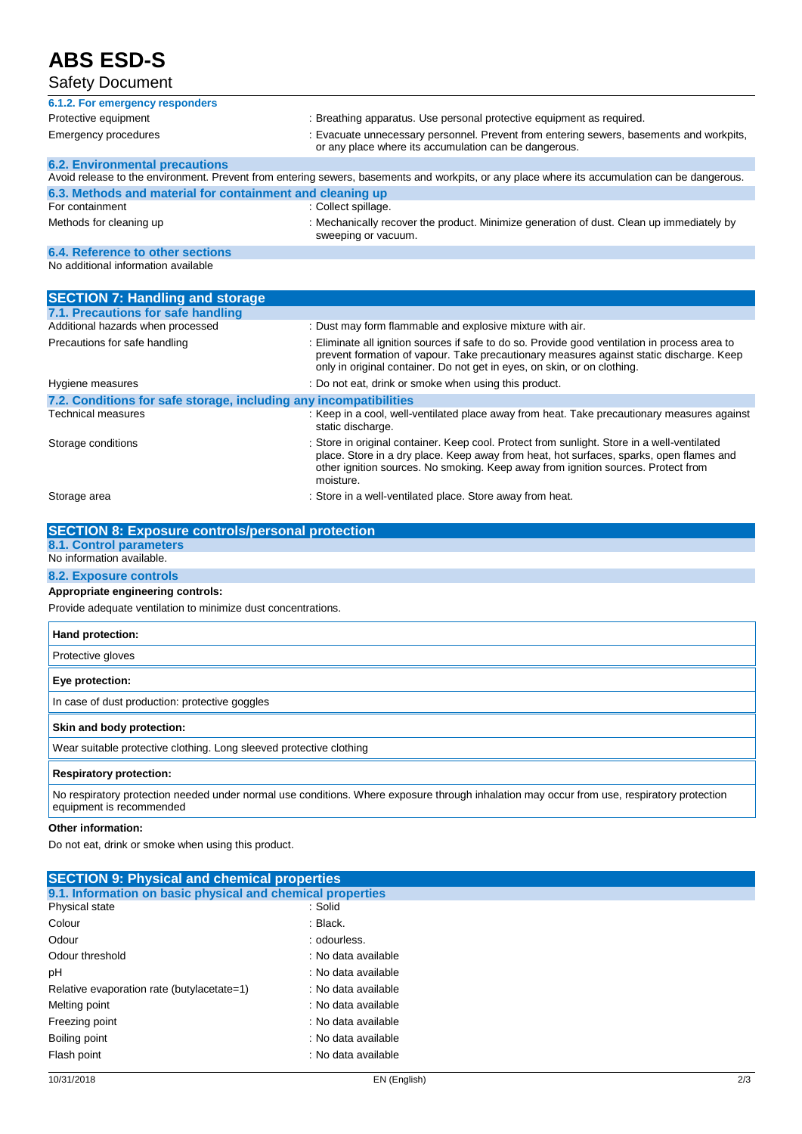# **ABS ESD-S**

# Safety Document

| 6.1.2. For emergency responders                                                                                                               |                                                                                                                                                                                                                                                                                          |  |
|-----------------------------------------------------------------------------------------------------------------------------------------------|------------------------------------------------------------------------------------------------------------------------------------------------------------------------------------------------------------------------------------------------------------------------------------------|--|
| Protective equipment                                                                                                                          | : Breathing apparatus. Use personal protective equipment as required.                                                                                                                                                                                                                    |  |
| <b>Emergency procedures</b>                                                                                                                   | : Evacuate unnecessary personnel. Prevent from entering sewers, basements and workpits,<br>or any place where its accumulation can be dangerous.                                                                                                                                         |  |
| <b>6.2. Environmental precautions</b>                                                                                                         |                                                                                                                                                                                                                                                                                          |  |
| Avoid release to the environment. Prevent from entering sewers, basements and workpits, or any place where its accumulation can be dangerous. |                                                                                                                                                                                                                                                                                          |  |
| 6.3. Methods and material for containment and cleaning up                                                                                     |                                                                                                                                                                                                                                                                                          |  |
| For containment                                                                                                                               | : Collect spillage.                                                                                                                                                                                                                                                                      |  |
| Methods for cleaning up                                                                                                                       | : Mechanically recover the product. Minimize generation of dust. Clean up immediately by<br>sweeping or vacuum.                                                                                                                                                                          |  |
| 6.4. Reference to other sections                                                                                                              |                                                                                                                                                                                                                                                                                          |  |
| No additional information available                                                                                                           |                                                                                                                                                                                                                                                                                          |  |
| <b>SECTION 7: Handling and storage</b>                                                                                                        |                                                                                                                                                                                                                                                                                          |  |
| 7.1. Precautions for safe handling                                                                                                            |                                                                                                                                                                                                                                                                                          |  |
| Additional hazards when processed                                                                                                             | : Dust may form flammable and explosive mixture with air.                                                                                                                                                                                                                                |  |
| Precautions for safe handling                                                                                                                 | : Eliminate all ignition sources if safe to do so. Provide good ventilation in process area to<br>prevent formation of vapour. Take precautionary measures against static discharge. Keep<br>only in original container. Do not get in eyes, on skin, or on clothing.                    |  |
| Hygiene measures                                                                                                                              | : Do not eat, drink or smoke when using this product.                                                                                                                                                                                                                                    |  |
| 7.2. Conditions for safe storage, including any incompatibilities                                                                             |                                                                                                                                                                                                                                                                                          |  |
| Technical measures                                                                                                                            | : Keep in a cool, well-ventilated place away from heat. Take precautionary measures against<br>static discharge.                                                                                                                                                                         |  |
| Storage conditions                                                                                                                            | : Store in original container. Keep cool. Protect from sunlight. Store in a well-ventilated<br>place. Store in a dry place. Keep away from heat, hot surfaces, sparks, open flames and<br>other ignition sources. No smoking. Keep away from ignition sources. Protect from<br>moisture. |  |
| Storage area                                                                                                                                  | : Store in a well-ventilated place. Store away from heat.                                                                                                                                                                                                                                |  |

| <b>SECTION 8: Exposure controls/personal protection</b>                                                                                    |
|--------------------------------------------------------------------------------------------------------------------------------------------|
| <b>8.1. Control parameters</b>                                                                                                             |
| No information available.                                                                                                                  |
| <b>8.2. Exposure controls</b>                                                                                                              |
| Appropriate engineering controls:                                                                                                          |
| Provide adequate ventilation to minimize dust concentrations.                                                                              |
| Hand protection:                                                                                                                           |
| Protective gloves                                                                                                                          |
| Eye protection:                                                                                                                            |
| In case of dust production: protective goggles                                                                                             |
| Skin and body protection:                                                                                                                  |
| Wear suitable protective clothing. Long sleeved protective clothing                                                                        |
| <b>Respiratory protection:</b>                                                                                                             |
| No respiratory protection needed under normal use conditions. Where exposure through inhalation may occur from use, respiratory protection |

equipment is recommended

### **Other information:**

Do not eat, drink or smoke when using this product.

| <b>SECTION 9: Physical and chemical properties</b>         |                     |  |
|------------------------------------------------------------|---------------------|--|
| 9.1. Information on basic physical and chemical properties |                     |  |
| Physical state                                             | :Solid              |  |
| Colour                                                     | : Black.            |  |
| Odour                                                      | : odourless.        |  |
| Odour threshold                                            | : No data available |  |
| pH                                                         | : No data available |  |
| Relative evaporation rate (butylacetate=1)                 | : No data available |  |
| Melting point                                              | : No data available |  |
| Freezing point                                             | : No data available |  |
| Boiling point                                              | : No data available |  |
| Flash point                                                | : No data available |  |